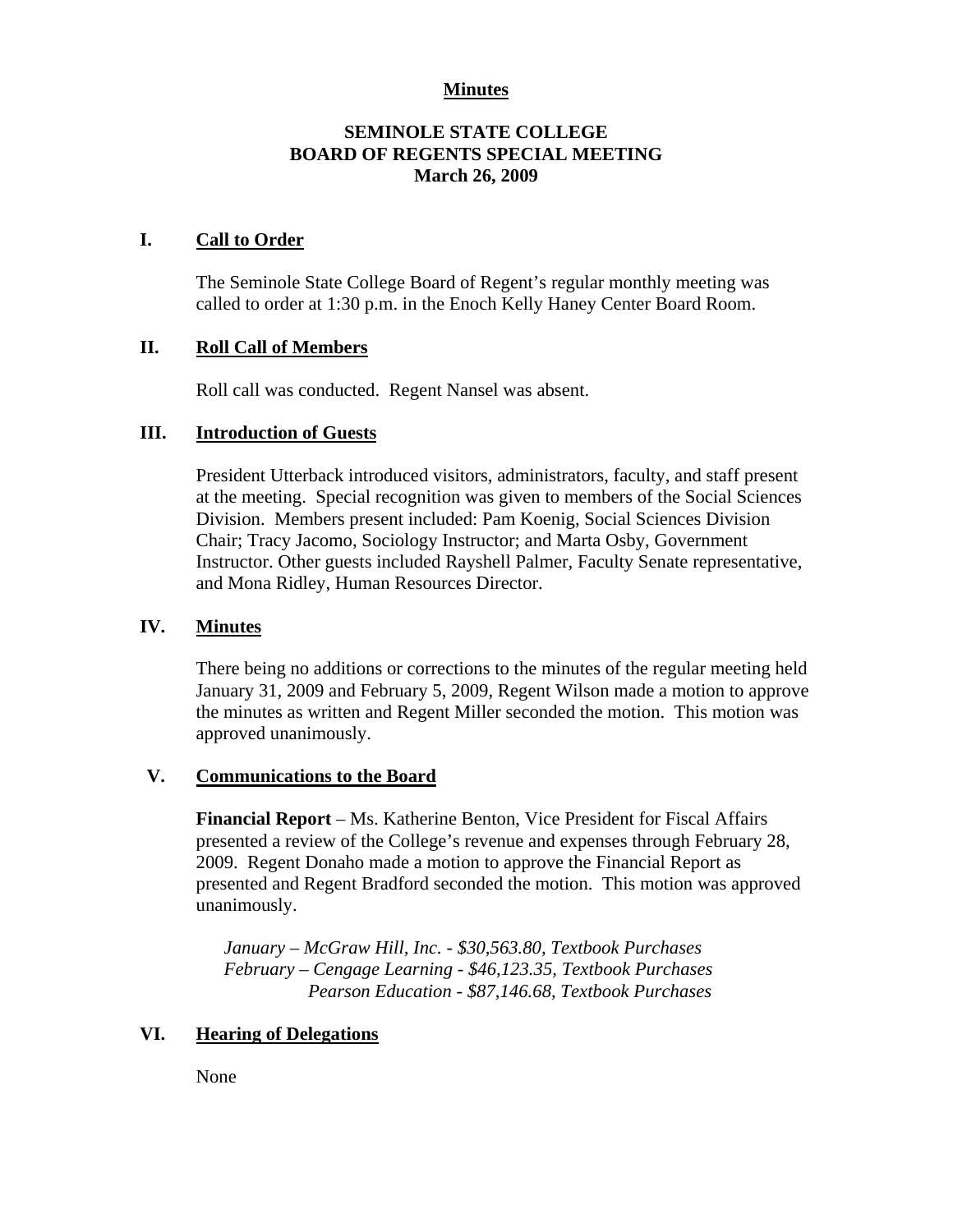#### **Minutes**

# **SEMINOLE STATE COLLEGE BOARD OF REGENTS SPECIAL MEETING March 26, 2009**

#### **I. Call to Order**

The Seminole State College Board of Regent's regular monthly meeting was called to order at 1:30 p.m. in the Enoch Kelly Haney Center Board Room.

# **II. Roll Call of Members**

Roll call was conducted. Regent Nansel was absent.

#### **III. Introduction of Guests**

President Utterback introduced visitors, administrators, faculty, and staff present at the meeting. Special recognition was given to members of the Social Sciences Division. Members present included: Pam Koenig, Social Sciences Division Chair; Tracy Jacomo, Sociology Instructor; and Marta Osby, Government Instructor. Other guests included Rayshell Palmer, Faculty Senate representative, and Mona Ridley, Human Resources Director.

#### **IV. Minutes**

There being no additions or corrections to the minutes of the regular meeting held January 31, 2009 and February 5, 2009, Regent Wilson made a motion to approve the minutes as written and Regent Miller seconded the motion. This motion was approved unanimously.

#### **V. Communications to the Board**

**Financial Report** – Ms. Katherine Benton, Vice President for Fiscal Affairs presented a review of the College's revenue and expenses through February 28, 2009. Regent Donaho made a motion to approve the Financial Report as presented and Regent Bradford seconded the motion. This motion was approved unanimously.

*January – McGraw Hill, Inc. - \$30,563.80, Textbook Purchases February – Cengage Learning - \$46,123.35, Textbook Purchases Pearson Education - \$87,146.68, Textbook Purchases* 

# **VI. Hearing of Delegations**

None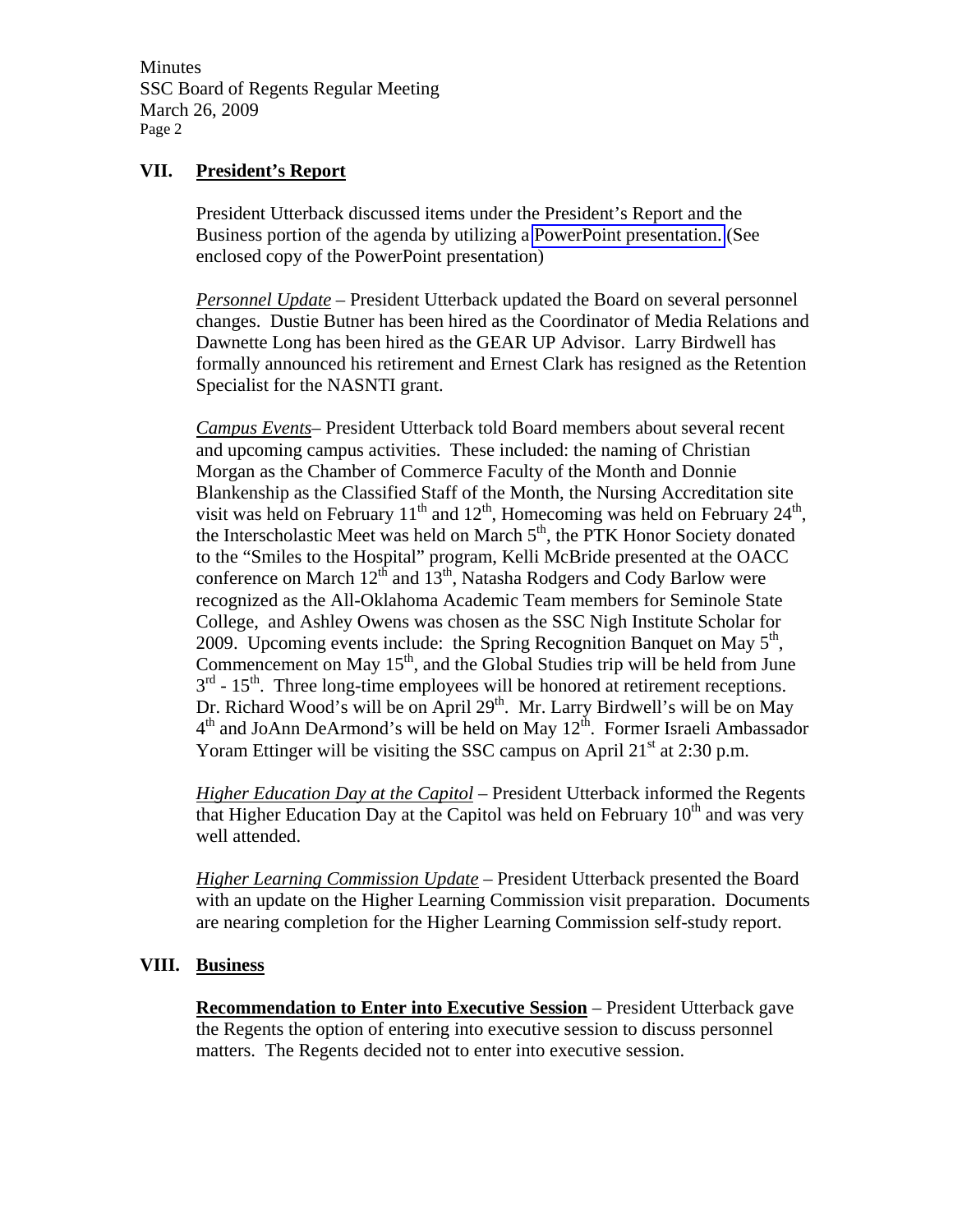Minutes SSC Board of Regents Regular Meeting March 26, 2009 Page 2

#### **VII. President's Report**

President Utterback discussed items under the President's Report and the Business portion of the agenda by utilizing a PowerPoint presentation. (See enclosed copy of the PowerPoint presentation)

*Personnel Update* – President Utterback updated the Board on several personnel changes. Dustie Butner has been hired as the Coordinator of Media Relations and Dawnette Long has been hired as the GEAR UP Advisor. Larry Birdwell has formally announced his retirement and Ernest Clark has resigned as the Retention Specialist for the NASNTI grant.

*Campus Events*– President Utterback told Board members about several recent and upcoming campus activities. These included: the naming of Christian Morgan as the Chamber of Commerce Faculty of the Month and Donnie Blankenship as the Classified Staff of the Month, the Nursing Accreditation site visit was held on February  $11^{th}$  and  $12^{th}$ , Homecoming was held on February  $24^{th}$ , the Interscholastic Meet was held on March  $5<sup>th</sup>$ , the PTK Honor Society donated to the "Smiles to the Hospital" program, Kelli McBride presented at the OACC conference on March  $12^{th}$  and  $13^{th}$ , Natasha Rodgers and Cody Barlow were recognized as the All-Oklahoma Academic Team members for Seminole State College, and Ashley Owens was chosen as the SSC Nigh Institute Scholar for 2009. Upcoming events include: the Spring Recognition Banquet on May  $5<sup>th</sup>$ , Commencement on May  $15<sup>th</sup>$ , and the Global Studies trip will be held from June  $3<sup>rd</sup>$  - 15<sup>th</sup>. Three long-time employees will be honored at retirement receptions. Dr. Richard Wood's will be on April 29<sup>th</sup>. Mr. Larry Birdwell's will be on May  $4<sup>th</sup>$  and JoAnn DeArmond's will be held on May  $12<sup>th</sup>$ . Former Israeli Ambassador Yoram Ettinger will be visiting the SSC campus on April  $21<sup>st</sup>$  at 2:30 p.m.

*Higher Education Day at the Capitol –* President Utterback informed the Regents that Higher Education Day at the Capitol was held on February  $10<sup>th</sup>$  and was very well attended.

*Higher Learning Commission Update* – President Utterback presented the Board with an update on the Higher Learning Commission visit preparation. Documents are nearing completion for the Higher Learning Commission self-study report.

#### **VIII. Business**

**Recommendation to Enter into Executive Session** – President Utterback gave the Regents the option of entering into executive session to discuss personnel matters. The Regents decided not to enter into executive session.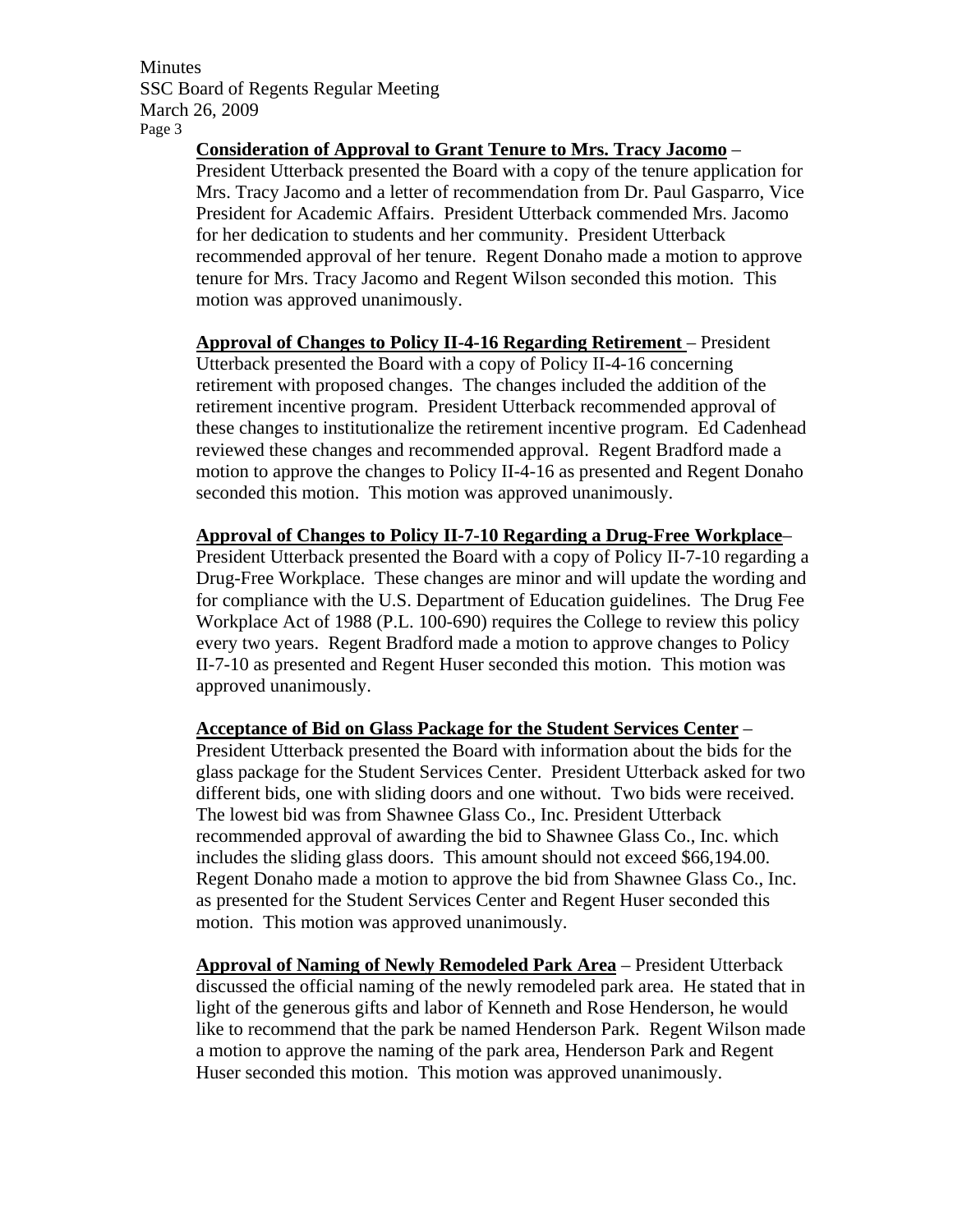Minutes SSC Board of Regents Regular Meeting March 26, 2009 Page 3

**Consideration of Approval to Grant Tenure to Mrs. Tracy Jacomo** –

President Utterback presented the Board with a copy of the tenure application for Mrs. Tracy Jacomo and a letter of recommendation from Dr. Paul Gasparro, Vice President for Academic Affairs. President Utterback commended Mrs. Jacomo for her dedication to students and her community. President Utterback recommended approval of her tenure. Regent Donaho made a motion to approve tenure for Mrs. Tracy Jacomo and Regent Wilson seconded this motion. This motion was approved unanimously.

**Approval of Changes to Policy II-4-16 Regarding Retirement** – President Utterback presented the Board with a copy of Policy II-4-16 concerning retirement with proposed changes. The changes included the addition of the retirement incentive program. President Utterback recommended approval of these changes to institutionalize the retirement incentive program. Ed Cadenhead reviewed these changes and recommended approval. Regent Bradford made a motion to approve the changes to Policy II-4-16 as presented and Regent Donaho seconded this motion. This motion was approved unanimously.

**Approval of Changes to Policy II-7-10 Regarding a Drug-Free Workplace**– President Utterback presented the Board with a copy of Policy II-7-10 regarding a Drug-Free Workplace. These changes are minor and will update the wording and for compliance with the U.S. Department of Education guidelines. The Drug Fee Workplace Act of 1988 (P.L. 100-690) requires the College to review this policy every two years. Regent Bradford made a motion to approve changes to Policy

II-7-10 as presented and Regent Huser seconded this motion. This motion was approved unanimously.

**Acceptance of Bid on Glass Package for the Student Services Center** –

President Utterback presented the Board with information about the bids for the glass package for the Student Services Center. President Utterback asked for two different bids, one with sliding doors and one without. Two bids were received. The lowest bid was from Shawnee Glass Co., Inc. President Utterback recommended approval of awarding the bid to Shawnee Glass Co., Inc. which includes the sliding glass doors. This amount should not exceed \$66,194.00. Regent Donaho made a motion to approve the bid from Shawnee Glass Co., Inc. as presented for the Student Services Center and Regent Huser seconded this motion. This motion was approved unanimously.

**Approval of Naming of Newly Remodeled Park Area** – President Utterback discussed the official naming of the newly remodeled park area. He stated that in light of the generous gifts and labor of Kenneth and Rose Henderson, he would like to recommend that the park be named Henderson Park. Regent Wilson made a motion to approve the naming of the park area, Henderson Park and Regent Huser seconded this motion. This motion was approved unanimously.